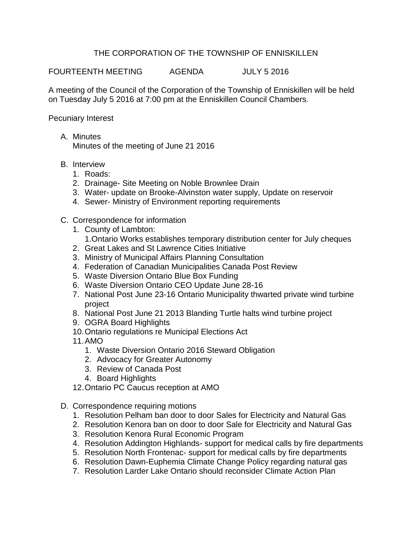## THE CORPORATION OF THE TOWNSHIP OF ENNISKILLEN

FOURTEENTH MEETING AGENDA JULY 5 2016

A meeting of the Council of the Corporation of the Township of Enniskillen will be held on Tuesday July 5 2016 at 7:00 pm at the Enniskillen Council Chambers.

Pecuniary Interest

- A. Minutes Minutes of the meeting of June 21 2016
- B. Interview
	- 1. Roads:
	- 2. Drainage- Site Meeting on Noble Brownlee Drain
	- 3. Water- update on Brooke-Alvinston water supply, Update on reservoir
	- 4. Sewer- Ministry of Environment reporting requirements
- C. Correspondence for information
	- 1. County of Lambton: 1.Ontario Works establishes temporary distribution center for July cheques
	- 2. Great Lakes and St Lawrence Cities Initiative
	- 3. Ministry of Municipal Affairs Planning Consultation
	- 4. Federation of Canadian Municipalities Canada Post Review
	- 5. Waste Diversion Ontario Blue Box Funding
	- 6. Waste Diversion Ontario CEO Update June 28-16
	- 7. National Post June 23-16 Ontario Municipality thwarted private wind turbine project
	- 8. National Post June 21 2013 Blanding Turtle halts wind turbine project
	- 9. OGRA Board Highlights
	- 10.Ontario regulations re Municipal Elections Act
	- 11.AMO
		- 1. Waste Diversion Ontario 2016 Steward Obligation
		- 2. Advocacy for Greater Autonomy
		- 3. Review of Canada Post
		- 4. Board Highlights
	- 12.Ontario PC Caucus reception at AMO
- D. Correspondence requiring motions
	- 1. Resolution Pelham ban door to door Sales for Electricity and Natural Gas
	- 2. Resolution Kenora ban on door to door Sale for Electricity and Natural Gas
	- 3. Resolution Kenora Rural Economic Program
	- 4. Resolution Addington Highlands- support for medical calls by fire departments
	- 5. Resolution North Frontenac- support for medical calls by fire departments
	- 6. Resolution Dawn-Euphemia Climate Change Policy regarding natural gas
	- 7. Resolution Larder Lake Ontario should reconsider Climate Action Plan